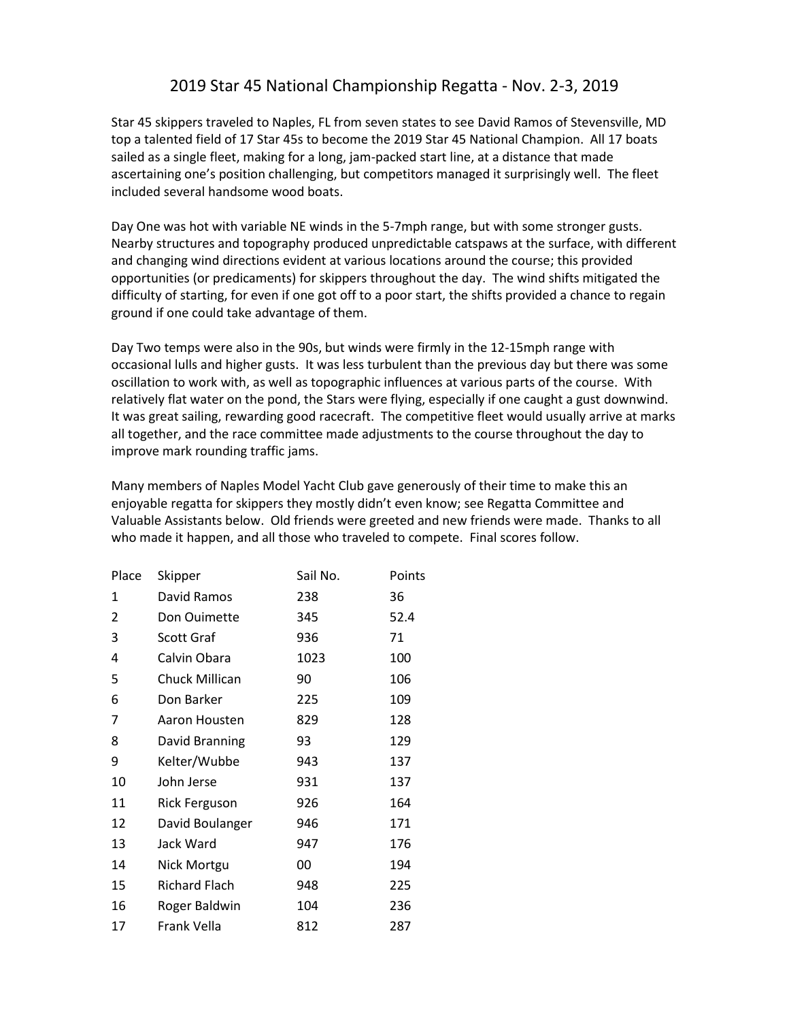## 2019 Star 45 National Championship Regatta - Nov. 2-3, 2019

Star 45 skippers traveled to Naples, FL from seven states to see David Ramos of Stevensville, MD top a talented field of 17 Star 45s to become the 2019 Star 45 National Champion. All 17 boats sailed as a single fleet, making for a long, jam-packed start line, at a distance that made ascertaining one's position challenging, but competitors managed it surprisingly well. The fleet included several handsome wood boats.

Day One was hot with variable NE winds in the 5-7mph range, but with some stronger gusts. Nearby structures and topography produced unpredictable catspaws at the surface, with different and changing wind directions evident at various locations around the course; this provided opportunities (or predicaments) for skippers throughout the day. The wind shifts mitigated the difficulty of starting, for even if one got off to a poor start, the shifts provided a chance to regain ground if one could take advantage of them.

Day Two temps were also in the 90s, but winds were firmly in the 12-15mph range with occasional lulls and higher gusts. It was less turbulent than the previous day but there was some oscillation to work with, as well as topographic influences at various parts of the course. With relatively flat water on the pond, the Stars were flying, especially if one caught a gust downwind. It was great sailing, rewarding good racecraft. The competitive fleet would usually arrive at marks all together, and the race committee made adjustments to the course throughout the day to improve mark rounding traffic jams.

Many members of Naples Model Yacht Club gave generously of their time to make this an enjoyable regatta for skippers they mostly didn't even know; see Regatta Committee and Valuable Assistants below. Old friends were greeted and new friends were made. Thanks to all who made it happen, and all those who traveled to compete. Final scores follow.

| Place | Skipper              | Sail No. | Points |
|-------|----------------------|----------|--------|
| 1     | David Ramos          | 238      | 36     |
| 2     | Don Ouimette         | 345      | 52.4   |
| 3     | Scott Graf           | 936      | 71     |
| 4     | Calvin Obara         | 1023     | 100    |
| 5     | Chuck Millican       | 90       | 106    |
| 6     | Don Barker           | 225      | 109    |
| 7     | Aaron Housten        | 829      | 128    |
| 8     | David Branning       | 93       | 129    |
| 9     | Kelter/Wubbe         | 943      | 137    |
| 10    | John Jerse           | 931      | 137    |
| 11    | <b>Rick Ferguson</b> | 926      | 164    |
| 12    | David Boulanger      | 946      | 171    |
| 13    | Jack Ward            | 947      | 176    |
| 14    | Nick Mortgu          | 00       | 194    |
| 15    | <b>Richard Flach</b> | 948      | 225    |
| 16    | Roger Baldwin        | 104      | 236    |
| 17    | Frank Vella          | 812      | 287    |